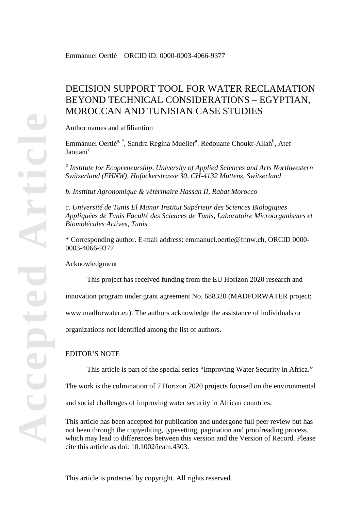# DECISION SUPPORT TOOL FOR WATER RECLAMATION BEYOND TECHNICAL CONSIDERATIONS – EGYPTIAN, MOROCCAN AND TUNISIAN CASE STUDIES

Author names and affiliantion

Emmanuel Oertlé<sup>a, \*</sup>, Sandra Regina Mueller<sup>a</sup>. Redouane Choukr-Allah<sup>b</sup>, Atef Jaouani<sup>c</sup>

*<sup>a</sup> Institute for Ecopreneurship, University of Applied Sciences and Arts Northwestern Switzerland (FHNW), Hofackerstrasse 30, CH-4132 Muttenz, Switzerland*

*b. Insttitut Agronomique & vétérinaire Hassan II, Rabat Morocco*

*c. Université de Tunis El Manar Institut Supérieur des Sciences Biologiques Appliquées de Tunis Faculté des Sciences de Tunis, Laboratoire Microorganismes et Biomolécules Actives, Tunis*

\* Corresponding author. E-mail address: emmanuel.oertle@fhnw.ch, ORCID 0000- 0003-4066-9377

Acknowledgment

This project has received funding from the EU Horizon 2020 research and

innovation program under grant agreement No. 688320 (MADFORWATER project;

www.madforwater.eu). The authors acknowledge the assistance of individuals or

organizations not identified among the list of authors.

## EDITOR'S NOTE

This article is part of the special series "Improving Water Security in Africa."

The work is the culmination of 7 Horizon 2020 projects focused on the environmental

and social challenges of improving water security in African countries.

This article has been accepted for publication and undergone full peer review but has not been through the copyediting, typesetting, pagination and proofreading process, which may lead to differences between this version and the Version of Record. Please cite this article as doi: 10.1002/ieam.4303.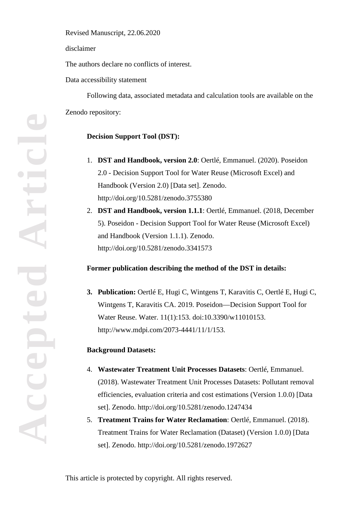disclaimer

The authors declare no conflicts of interest.

Data accessibility statement

Following data, associated metadata and calculation tools are available on the Zenodo repository:

### **Decision Support Tool (DST):**

- 1. **DST and Handbook, version 2.0**: Oertlé, Emmanuel. (2020). Poseidon 2.0 - Decision Support Tool for Water Reuse (Microsoft Excel) and Handbook (Version 2.0) [Data set]. Zenodo. http://doi.org/10.5281/zenodo.3755380
- 2. **DST and Handbook, version 1.1.1**: Oertlé, Emmanuel. (2018, December 5). Poseidon - Decision Support Tool for Water Reuse (Microsoft Excel) and Handbook (Version 1.1.1). Zenodo. http://doi.org/10.5281/zenodo.3341573

#### **Former publication describing the method of the DST in details:**

**3. Publication:** Oertlé E, Hugi C, Wintgens T, Karavitis C, Oertlé E, Hugi C, Wintgens T, Karavitis CA. 2019. Poseidon—Decision Support Tool for Water Reuse. Water. 11(1):153. doi:10.3390/w11010153. [http://www.mdpi.com/2073-4441/11/1/153.](http://www.mdpi.com/2073-4441/11/1/153)

## **Background Datasets:**

- 4. **Wastewater Treatment Unit Processes Datasets**: Oertlé, Emmanuel. (2018). Wastewater Treatment Unit Processes Datasets: Pollutant removal efficiencies, evaluation criteria and cost estimations (Version 1.0.0) [Data set]. Zenodo. http://doi.org/10.5281/zenodo.1247434
- 5. **Treatment Trains for Water Reclamation**: Oertlé, Emmanuel. (2018). Treatment Trains for Water Reclamation (Dataset) (Version 1.0.0) [Data set]. Zenodo. http://doi.org/10.5281/zenodo.1972627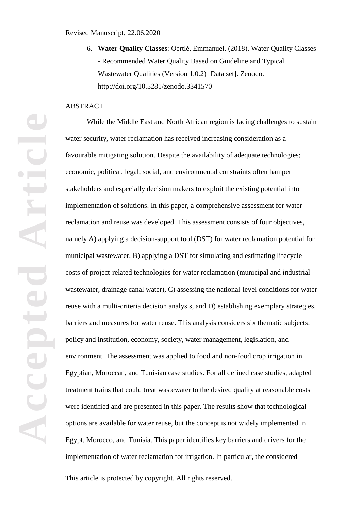6. **Water Quality Classes**: Oertlé, Emmanuel. (2018). Water Quality Classes - Recommended Water Quality Based on Guideline and Typical Wastewater Qualities (Version 1.0.2) [Data set]. Zenodo. <http://doi.org/10.5281/zenodo.3341570>

# **ABSTRACT**

While the Middle East and North African region is facing challenges to sustain water security, water reclamation has received increasing consideration as a favourable mitigating solution. Despite the availability of adequate technologies; economic, political, legal, social, and environmental constraints often hamper stakeholders and especially decision makers to exploit the existing potential into implementation of solutions. In this paper, a comprehensive assessment for water reclamation and reuse was developed. This assessment consists of four objectives, namely A) applying a decision-support tool (DST) for water reclamation potential for municipal wastewater, B) applying a DST for simulating and estimating lifecycle costs of project-related technologies for water reclamation (municipal and industrial wastewater, drainage canal water), C) assessing the national-level conditions for water reuse with a multi-criteria decision analysis, and D) establishing exemplary strategies, barriers and measures for water reuse. This analysis considers six thematic subjects: policy and institution, economy, society, water management, legislation, and environment. The assessment was applied to food and non-food crop irrigation in Egyptian, Moroccan, and Tunisian case studies. For all defined case studies, adapted treatment trains that could treat wastewater to the desired quality at reasonable costs were identified and are presented in this paper. The results show that technological options are available for water reuse, but the concept is not widely implemented in Egypt, Morocco, and Tunisia. This paper identifies key barriers and drivers for the implementation of water reclamation for irrigation. In particular, the considered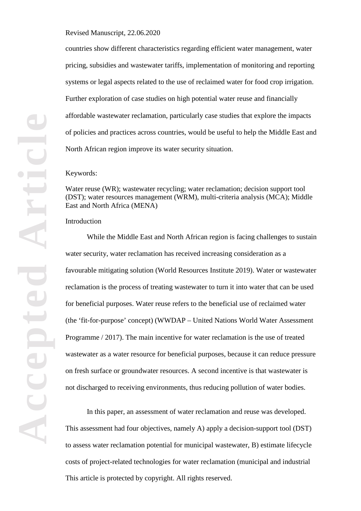countries show different characteristics regarding efficient water management, water pricing, subsidies and wastewater tariffs, implementation of monitoring and reporting systems or legal aspects related to the use of reclaimed water for food crop irrigation. Further exploration of case studies on high potential water reuse and financially affordable wastewater reclamation, particularly case studies that explore the impacts of policies and practices across countries, would be useful to help the Middle East and North African region improve its water security situation.

#### Keywords:

Water reuse (WR); wastewater recycling; water reclamation; decision support tool (DST); water resources management (WRM), multi-criteria analysis (MCA); Middle East and North Africa (MENA)

#### Introduction

While the Middle East and North African region is facing challenges to sustain water security, water reclamation has received increasing consideration as a favourable mitigating solution (World Resources Institute 2019). Water or wastewater reclamation is the process of treating wastewater to turn it into water that can be used for beneficial purposes. Water reuse refers to the beneficial use of reclaimed water (the 'fit-for-purpose' concept) (WWDAP – United Nations World Water Assessment Programme / 2017). The main incentive for water reclamation is the use of treated wastewater as a water resource for beneficial purposes, because it can reduce pressure on fresh surface or groundwater resources. A second incentive is that wastewater is not discharged to receiving environments, thus reducing pollution of water bodies.

This article is protected by copyright. All rights reserved. In this paper, an assessment of water reclamation and reuse was developed. This assessment had four objectives, namely A) apply a decision-support tool (DST) to assess water reclamation potential for municipal wastewater, B) estimate lifecycle costs of project-related technologies for water reclamation (municipal and industrial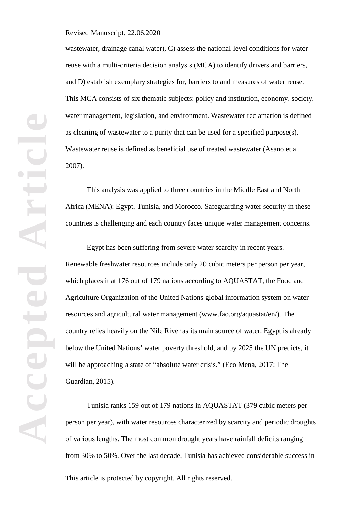wastewater, drainage canal water), C) assess the national-level conditions for water reuse with a multi-criteria decision analysis (MCA) to identify drivers and barriers, and D) establish exemplary strategies for, barriers to and measures of water reuse. This MCA consists of six thematic subjects: policy and institution, economy, society, water management, legislation, and environment. Wastewater reclamation is defined as cleaning of wastewater to a purity that can be used for a specified purpose(s). Wastewater reuse is defined as beneficial use of treated wastewater (Asano et al. 2007).

This analysis was applied to three countries in the Middle East and North Africa (MENA): Egypt, Tunisia, and Morocco. Safeguarding water security in these countries is challenging and each country faces unique water management concerns.

Egypt has been suffering from severe water scarcity in recent years. Renewable freshwater resources include only 20 cubic meters per person per year, which places it at 176 out of 179 nations according to AQUASTAT, the Food and Agriculture Organization of the United Nations global information system on water resources and agricultural water management (www.fao.org/aquastat/en/). The country relies heavily on the Nile River as its main source of water. Egypt is already below the United Nations' water poverty threshold, and by 2025 the UN predicts, it will be approaching a state of "absolute water crisis." (Eco Mena, 2017; The Guardian, 2015).

This article is protected by copyright. All rights reserved. Tunisia ranks 159 out of 179 nations in AQUASTAT (379 cubic meters per person per year), with water resources characterized by scarcity and periodic droughts of various lengths. The most common drought years have rainfall deficits ranging from 30% to 50%. Over the last decade, Tunisia has achieved considerable success in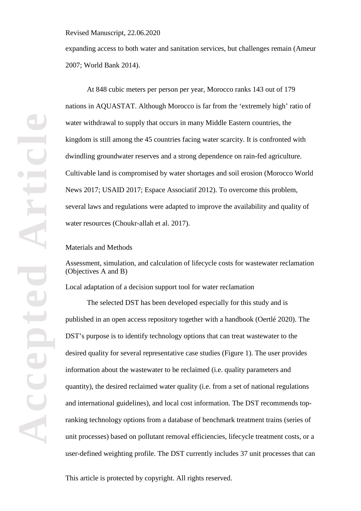expanding access to both water and sanitation services, but challenges remain (Ameur 2007; World Bank 2014).

At 848 cubic meters per person per year, Morocco ranks 143 out of 179 nations in AQUASTAT. Although Morocco is far from the 'extremely high' ratio of water withdrawal to supply that occurs in many Middle Eastern countries, the kingdom is still among the 45 countries facing water scarcity. It is confronted with dwindling groundwater reserves and a strong dependence on rain-fed agriculture. Cultivable land is compromised by water shortages and soil erosion (Morocco World News 2017; USAID 2017; Espace Associatif 2012). To overcome this problem, several laws and regulations were adapted to improve the availability and quality of water resources (Choukr-allah et al. 2017).

#### Materials and Methods

Assessment, simulation, and calculation of lifecycle costs for wastewater reclamation (Objectives A and B)

Local adaptation of a decision support tool for water reclamation

The selected DST has been developed especially for this study and is published in an open access repository together with a handbook (Oertlé 2020). The DST's purpose is to identify technology options that can treat wastewater to the desired quality for several representative case studies (Figure 1). The user provides information about the wastewater to be reclaimed (i.e. quality parameters and quantity), the desired reclaimed water quality (i.e. from a set of national regulations and international guidelines), and local cost information. The DST recommends topranking technology options from a database of benchmark treatment trains (series of unit processes) based on pollutant removal efficiencies, lifecycle treatment costs, or a user-defined weighting profile. The DST currently includes 37 unit processes that can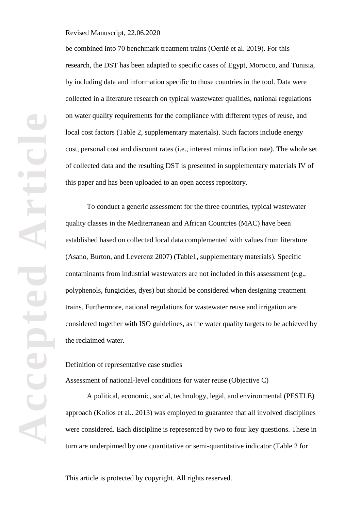be combined into 70 benchmark treatment trains (Oertlé et al. 2019). For this research, the DST has been adapted to specific cases of Egypt, Morocco, and Tunisia, by including data and information specific to those countries in the tool. Data were collected in a literature research on typical wastewater qualities, national regulations on water quality requirements for the compliance with different types of reuse, and local cost factors (Table 2, supplementary materials). Such factors include energy cost, personal cost and discount rates (i.e., interest minus inflation rate). The whole set of collected data and the resulting DST is presented in supplementary materials IV of this paper and has been uploaded to an open access repository.

To conduct a generic assessment for the three countries, typical wastewater quality classes in the Mediterranean and African Countries (MAC) have been established based on collected local data complemented with values from literature (Asano, Burton, and Leverenz 2007) (Table1, supplementary materials). Specific contaminants from industrial wastewaters are not included in this assessment (e.g., polyphenols, fungicides, dyes) but should be considered when designing treatment trains. Furthermore, national regulations for wastewater reuse and irrigation are considered together with ISO guidelines, as the water quality targets to be achieved by the reclaimed water.

#### Definition of representative case studies

Assessment of national-level conditions for water reuse (Objective C)

A political, economic, social, technology, legal, and environmental (PESTLE) approach (Kolios et al.. 2013) was employed to guarantee that all involved disciplines were considered. Each discipline is represented by two to four key questions. These in turn are underpinned by one quantitative or semi-quantitative indicator (Table 2 for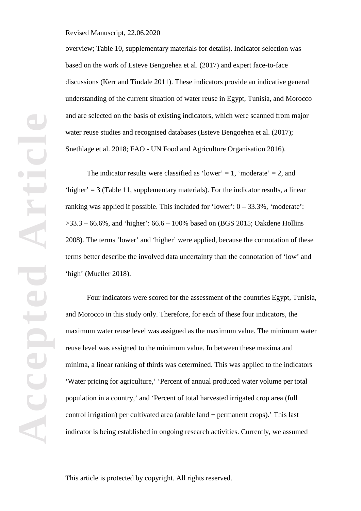overview; Table 10, supplementary materials for details). Indicator selection was based on the work of Esteve Bengoehea et al. (2017) and expert face-to-face discussions (Kerr and Tindale 2011). These indicators provide an indicative general understanding of the current situation of water reuse in Egypt, Tunisia, and Morocco and are selected on the basis of existing indicators, which were scanned from major water reuse studies and recognised databases (Esteve Bengoehea et al. (2017); Snethlage et al. 2018; FAO - UN Food and Agriculture Organisation 2016).

The indicator results were classified as 'lower' = 1, 'moderate' = 2, and 'higher'  $= 3$  (Table 11, supplementary materials). For the indicator results, a linear ranking was applied if possible. This included for 'lower':  $0 - 33.3\%$ , 'moderate':  $>33.3 - 66.6\%$ , and 'higher':  $66.6 - 100\%$  based on (BGS 2015; Oakdene Hollins 2008). The terms 'lower' and 'higher' were applied, because the connotation of these terms better describe the involved data uncertainty than the connotation of 'low' and 'high' (Mueller 2018).

Four indicators were scored for the assessment of the countries Egypt, Tunisia, and Morocco in this study only. Therefore, for each of these four indicators, the maximum water reuse level was assigned as the maximum value. The minimum water reuse level was assigned to the minimum value. In between these maxima and minima, a linear ranking of thirds was determined. This was applied to the indicators 'Water pricing for agriculture,' 'Percent of annual produced water volume per total population in a country,' and 'Percent of total harvested irrigated crop area (full control irrigation) per cultivated area (arable land + permanent crops).' This last indicator is being established in ongoing research activities. Currently, we assumed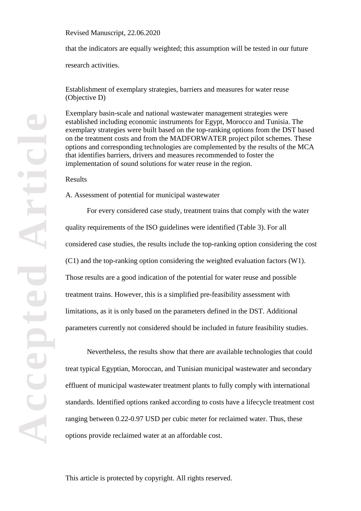that the indicators are equally weighted; this assumption will be tested in our future

research activities.

Establishment of exemplary strategies, barriers and measures for water reuse (Objective D)

Exemplary basin-scale and national wastewater management strategies were established including economic instruments for Egypt, Morocco and Tunisia. The exemplary strategies were built based on the top-ranking options from the DST based on the treatment costs and from the MADFORWATER project pilot schemes. These options and corresponding technologies are complemented by the results of the MCA that identifies barriers, drivers and measures recommended to foster the implementation of sound solutions for water reuse in the region.

Results

A. Assessment of potential for municipal wastewater

For every considered case study, treatment trains that comply with the water quality requirements of the ISO guidelines were identified (Table 3). For all considered case studies, the results include the top-ranking option considering the cost (C1) and the top-ranking option considering the weighted evaluation factors (W1). Those results are a good indication of the potential for water reuse and possible treatment trains. However, this is a simplified pre-feasibility assessment with limitations, as it is only based on the parameters defined in the DST. Additional parameters currently not considered should be included in future feasibility studies.

Nevertheless, the results show that there are available technologies that could treat typical Egyptian, Moroccan, and Tunisian municipal wastewater and secondary effluent of municipal wastewater treatment plants to fully comply with international standards. Identified options ranked according to costs have a lifecycle treatment cost ranging between 0.22-0.97 USD per cubic meter for reclaimed water. Thus, these options provide reclaimed water at an affordable cost.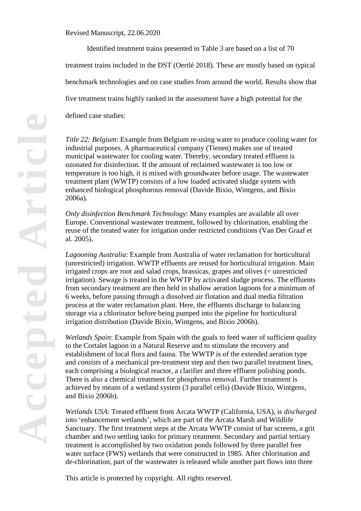Identified treatment trains presented in Table 3 are based on a list of 70 treatment trains included in the DST (Oertlé 2018). These are mostly based on typical benchmark technologies and on case studies from around the world. Results show that five treatment trains highly ranked in the assessment have a high potential for the defined case studies:

*Title 22: Belgium*: Example from Belgium re-using water to produce cooling water for industrial purposes. A pharmaceutical company (Tienen) makes use of treated municipal wastewater for cooling water. Thereby, secondary treated effluent is ozonated for disinfection. If the amount of reclaimed wastewater is too low or temperature is too high, it is mixed with groundwater before usage. The wastewater treatment plant (WWTP) consists of a low loaded activated sludge system with enhanced biological phosphorous removal (Davide Bixio, Wintgens, and Bixio 2006a).

*Only disinfection Benchmark Technology*: Many examples are available all over Europe. Conventional wastewater treatment, followed by chlorination, enabling the reuse of the treated water for irrigation under restricted conditions (Van Der Graaf et al. 2005).

*Lagooning Australia*: Example from Australia of water reclamation for horticultural (unrestricted) irrigation. WWTP effluents are reused for horticultural irrigation. Main irrigated crops are root and salad crops, brassicas, grapes and olives (= unrestricted irrigation). Sewage is treated in the WWTP by activated sludge process. The effluents from secondary treatment are then held in shallow aeration lagoons for a minimum of 6 weeks, before passing through a dissolved air flotation and dual media filtration process at the water reclamation plant. Here, the effluents discharge to balancing storage via a chlorinator before being pumped into the pipeline for horticultural irrigation distribution (Davide Bixio, Wintgens, and Bixio 2006b).

*Wetlands Spain*: Example from Spain with the goals to feed water of sufficient quality to the Cortalet lagoon in a Natural Reserve and to stimulate the recovery and establishment of local flora and fauna. The WWTP is of the extended aeration type and *consists* of a mechanical pre-treatment step and then two parallel treatment lines, each comprising a biological reactor, a clarifier and three effluent polishing ponds. There is also a chemical treatment for phosphorus removal. Further treatment is achieved by means of a wetland system (3 parallel cells) (Davide Bixio, Wintgens, and Bixio 2006b).

*Wetlands USA*: Treated effluent from Arcata WWTP (California, USA), is *discharged* into 'enhancement wetlands', which are part of the Arcata Marsh and Wildlife Sanctuary. The first treatment steps at the Arcata WWTP consist of bar screens, a grit chamber and two settling tanks for primary treatment. Secondary and partial tertiary treatment is accomplished by two oxidation ponds followed by three parallel free water surface (FWS) wetlands that were constructed in 1985. After chlorination and de-chlorination, part of the wastewater is released while another part flows into three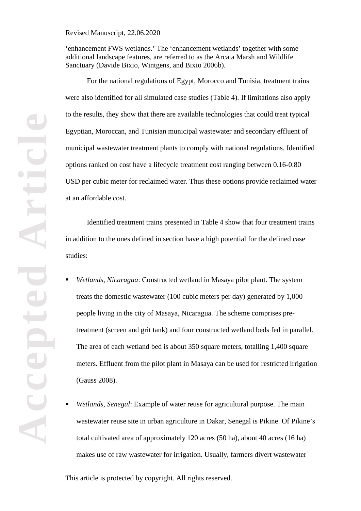'enhancement FWS wetlands.' The 'enhancement wetlands' together with some additional landscape features, are referred to as the Arcata Marsh and Wildlife Sanctuary (Davide Bixio, Wintgens, and Bixio 2006b).

For the national regulations of Egypt, Morocco and Tunisia, treatment trains were also identified for all simulated case studies (Table 4). If limitations also apply to the results, they show that there are available technologies that could treat typical Egyptian, Moroccan, and Tunisian municipal wastewater and secondary effluent of municipal wastewater treatment plants to comply with national regulations. Identified options ranked on cost have a lifecycle treatment cost ranging between 0.16-0.80 USD per cubic meter for reclaimed water. Thus these options provide reclaimed water at an affordable cost.

Identified treatment trains presented in Table 4 show that four treatment trains in addition to the ones defined in section have a high potential for the defined case studies:

- *Wetlands, Nicaragua*: Constructed wetland in Masaya pilot plant. The system treats the domestic wastewater (100 cubic meters per day) generated by 1,000 people living in the city of Masaya, Nicaragua. The scheme comprises pretreatment (screen and grit tank) and four constructed wetland beds fed in parallel. The area of each wetland bed is about 350 square meters, totalling 1,400 square meters. Effluent from the pilot plant in Masaya can be used for restricted irrigation (Gauss 2008).
- *Wetlands, Senegal*: Example of water reuse for agricultural purpose. The main wastewater reuse site in urban agriculture in Dakar, Senegal is Pikine. Of Pikine's total cultivated area of approximately 120 acres (50 ha), about 40 acres (16 ha) makes use of raw wastewater for irrigation. Usually, farmers divert wastewater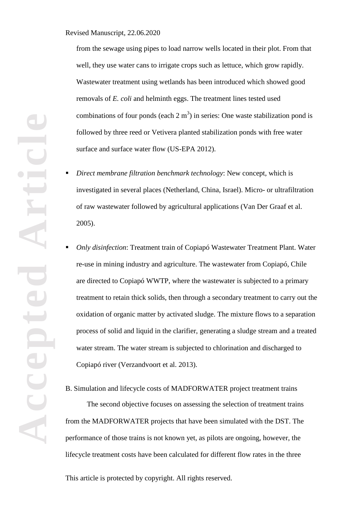from the sewage using pipes to load narrow wells located in their plot. From that well, they use water cans to irrigate crops such as lettuce, which grow rapidly. Wastewater treatment using wetlands has been introduced which showed good removals of *E. coli* and helminth eggs. The treatment lines tested used combinations of four ponds (each  $2 \text{ m}^3$ ) in series: One waste stabilization pond is followed by three reed or Vetivera planted stabilization ponds with free water surface and surface water flow (US-EPA 2012).

- *Direct membrane filtration benchmark technology*: New concept, which is investigated in several places (Netherland, China, Israel). Micro- or ultrafiltration of raw wastewater followed by agricultural applications (Van Der Graaf et al. 2005).
- *Only disinfection*: Treatment train of Copiapó Wastewater Treatment Plant. Water re-use in mining industry and agriculture. The wastewater from Copiapó, Chile are directed to Copiapó WWTP, where the wastewater is subjected to a primary treatment to retain thick solids, then through a secondary treatment to carry out the oxidation of organic matter by activated sludge. The mixture flows to a separation process of solid and liquid in the clarifier, generating a sludge stream and a treated water stream. The water stream is subjected to chlorination and discharged to Copiapó river (Verzandvoort et al. 2013).

B. Simulation and lifecycle costs of MADFORWATER project treatment trains

The second objective focuses on assessing the selection of treatment trains from the MADFORWATER projects that have been simulated with the DST. The performance of those trains is not known yet, as pilots are ongoing, however, the lifecycle treatment costs have been calculated for different flow rates in the three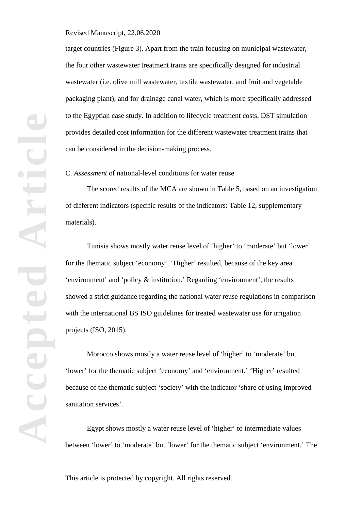target countries (Figure 3). Apart from the train focusing on municipal wastewater, the four other wastewater treatment trains are specifically designed for industrial wastewater (i.e. olive mill wastewater, textile wastewater, and fruit and vegetable packaging plant); and for drainage canal water, which is more specifically addressed to the Egyptian case study. In addition to lifecycle treatment costs, DST simulation provides detailed cost information for the different wastewater treatment trains that can be considered in the decision-making process.

C. *Assessment* of national-level conditions for water reuse

The scored results of the MCA are shown in Table 5, based on an investigation of different indicators (specific results of the indicators: Table 12, supplementary materials).

Tunisia shows mostly water reuse level of 'higher' to 'moderate' but 'lower' for the thematic subject 'economy'. 'Higher' resulted, because of the key area 'environment' and 'policy & institution.' Regarding 'environment', the results showed a strict guidance regarding the national water reuse regulations in comparison with the international BS ISO guidelines for treated wastewater use for irrigation projects (ISO, 2015).

Morocco shows mostly a water reuse level of 'higher' to 'moderate' but 'lower' for the thematic subject 'economy' and 'environment.' 'Higher' resulted because of the thematic subject 'society' with the indicator 'share of using improved sanitation services'.

Egypt shows mostly a water reuse level of 'higher' to intermediate values between 'lower' to 'moderate' but 'lower' for the thematic subject 'environment.' The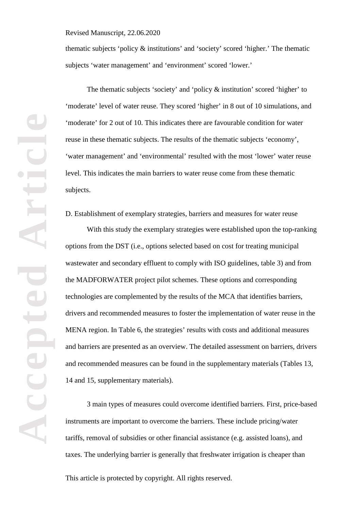thematic subjects 'policy & institutions' and 'society' scored 'higher.' The thematic subjects 'water management' and 'environment' scored 'lower.'

The thematic subjects 'society' and 'policy & institution' scored 'higher' to 'moderate' level of water reuse. They scored 'higher' in 8 out of 10 simulations, and 'moderate' for 2 out of 10. This indicates there are favourable condition for water reuse in these thematic subjects. The results of the thematic subjects 'economy', 'water management' and 'environmental' resulted with the most 'lower' water reuse level. This indicates the main barriers to water reuse come from these thematic subjects.

D. Establishment of exemplary strategies, barriers and measures for water reuse

With this study the exemplary strategies were established upon the top-ranking options from the DST (i.e., options selected based on cost for treating municipal wastewater and secondary effluent to comply with ISO guidelines, table 3) and from the MADFORWATER project pilot schemes. These options and corresponding technologies are complemented by the results of the MCA that identifies barriers, drivers and recommended measures to foster the implementation of water reuse in the MENA region. In Table 6, the strategies' results with costs and additional measures and barriers are presented as an overview. The detailed assessment on barriers, drivers and recommended measures can be found in the supplementary materials (Tables 13, 14 and 15, supplementary materials).

3 main types of measures could overcome identified barriers. First, price-based instruments are important to overcome the barriers. These include pricing/water tariffs, removal of subsidies or other financial assistance (e.g. assisted loans), and taxes. The underlying barrier is generally that freshwater irrigation is cheaper than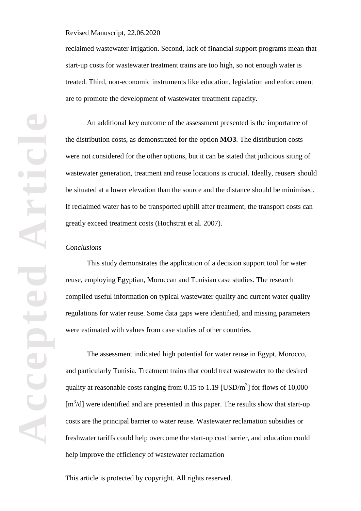reclaimed wastewater irrigation. Second, lack of financial support programs mean that start-up costs for wastewater treatment trains are too high, so not enough water is treated. Third, non-economic instruments like education, legislation and enforcement are to promote the development of wastewater treatment capacity.

An additional key outcome of the assessment presented is the importance of the distribution costs, as demonstrated for the option **MO3**. The distribution costs were not considered for the other options, but it can be stated that judicious siting of wastewater generation, treatment and reuse locations is crucial. Ideally, reusers should be situated at a lower elevation than the source and the distance should be minimised. If reclaimed water has to be transported uphill after treatment, the transport costs can greatly exceed treatment costs (Hochstrat et al. 2007).

#### *Conclusions*

This study demonstrates the application of a decision support tool for water reuse, employing Egyptian, Moroccan and Tunisian case studies. The research compiled useful information on typical wastewater quality and current water quality regulations for water reuse. Some data gaps were identified, and missing parameters were estimated with values from case studies of other countries.

The assessment indicated high potential for water reuse in Egypt, Morocco, and particularly Tunisia. Treatment trains that could treat wastewater to the desired quality at reasonable costs ranging from 0.15 to 1.19 [USD/ $m<sup>3</sup>$ ] for flows of 10,000  $[m<sup>3</sup>/d]$  were identified and are presented in this paper. The results show that start-up costs are the principal barrier to water reuse. Wastewater reclamation subsidies or freshwater tariffs could help overcome the start-up cost barrier, and education could help improve the efficiency of wastewater reclamation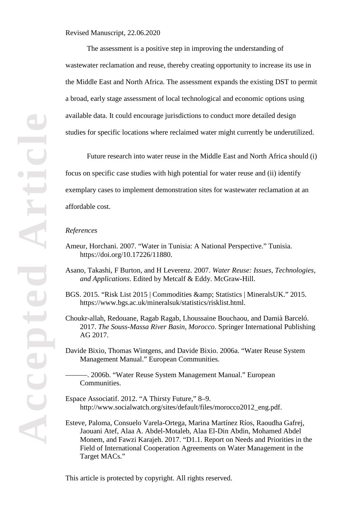The assessment is a positive step in improving the understanding of wastewater reclamation and reuse, thereby creating opportunity to increase its use in the Middle East and North Africa. The assessment expands the existing DST to permit a broad, early stage assessment of local technological and economic options using available data. It could encourage jurisdictions to conduct more detailed design studies for specific locations where reclaimed water might currently be underutilized.

Future research into water reuse in the Middle East and North Africa should (i) focus on specific case studies with high potential for water reuse and (ii) identify exemplary cases to implement demonstration sites for wastewater reclamation at an affordable cost.

#### *References*

- Ameur, Horchani. 2007. "Water in Tunisia: A National Perspective." Tunisia. https://doi.org/10.17226/11880.
- Asano, Takashi, F Burton, and H Leverenz. 2007. *Water Reuse: Issues, Technologies, and Applications*. Edited by Metcalf & Eddy. McGraw-Hill.
- BGS. 2015. "Risk List 2015 | Commodities & amp; Statistics | MineralsUK." 2015. https://www.bgs.ac.uk/mineralsuk/statistics/risklist.html.
- Choukr-allah, Redouane, Ragab Ragab, Lhoussaine Bouchaou, and Damià Barceló. 2017. *The Souss-Massa River Basin, Morocco*. Springer International Publishing AG 2017.
- Davide Bixio, Thomas Wintgens, and Davide Bixio. 2006a. "Water Reuse System Management Manual." European Communities.
	- ———. 2006b. "Water Reuse System Management Manual." European Communities.
- Espace Associatif. 2012. "A Thirsty Future," 8–9. http://www.socialwatch.org/sites/default/files/morocco2012\_eng.pdf.
- Esteve, Paloma, Consuelo Varela-Ortega, Marina Martínez Ríos, Raoudha Gafrej, Jaouani Atef, Alaa A. Abdel-Motaleb, Alaa El-Din Abdin, Mohamed Abdel Monem, and Fawzi Karajeh. 2017. "D1.1. Report on Needs and Priorities in the Field of International Cooperation Agreements on Water Management in the Target MACs."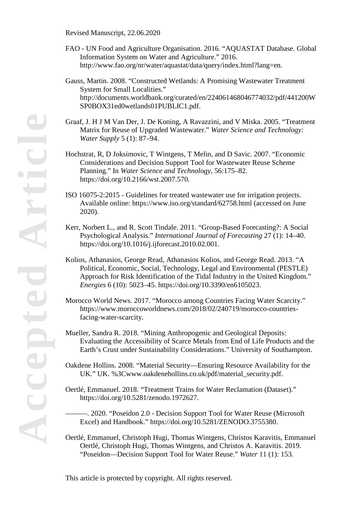Revised Manuscript, 22.06.2020

- FAO UN Food and Agriculture Organisation. 2016. "AQUASTAT Database. Global Information System on Water and Agriculture." 2016. http://www.fao.org/nr/water/aquastat/data/query/index.html?lang=en.
- Gauss, Martin. 2008. "Constructed Wetlands: A Promising Wastewater Treatment System for Small Localities." http://documents.worldbank.org/curated/en/224061468046774032/pdf/441200W SP0BOX31ed0wetlands01PUBLIC1.pdf.
- Graaf, J. H J M Van Der, J. De Koning, A Ravazzini, and V Miska. 2005. "Treatment Matrix for Reuse of Upgraded Wastewater." *Water Science and Technology: Water Supply* 5 (1): 87–94.
- Hochstrat, R, D Joksimovic, T Wintgens, T Melin, and D Savic. 2007. "Economic Considerations and Decision Support Tool for Wastewater Reuse Scheme Planning." In *Water Science and Technology*, 56:175–82. https://doi.org/10.2166/wst.2007.570.
- ISO 16075-2:2015 Guidelines for treated wastewater use for irrigation projects. Available online: https://www.iso.org/standard/62758.html (accessed on June 2020).
- Kerr, Norbert L., and R. Scott Tindale. 2011. "Group-Based Forecasting?: A Social Psychological Analysis." *International Journal of Forecasting* 27 (1): 14–40. https://doi.org/10.1016/j.ijforecast.2010.02.001.
- Kolios, Athanasios, George Read, Athanasios Kolios, and George Read. 2013. "A Political, Economic, Social, Technology, Legal and Environmental (PESTLE) Approach for Risk Identification of the Tidal Industry in the United Kingdom." *Energies* 6 (10): 5023–45. https://doi.org/10.3390/en6105023.
- Morocco World News. 2017. "Morocco among Countries Facing Water Scarcity." https://www.moroccoworldnews.com/2018/02/240719/morocco-countriesfacing-water-scarcity.
- Mueller, Sandra R. 2018. "Mining Anthropogenic and Geological Deposits: Evaluating the Accessibility of Scarce Metals from End of Life Products and the Earth's Crust under Sustainability Considerations." University of Southampton.
- Oakdene Hollins. 2008. "Material Security—Ensuring Resource Availability for the UK." UK. %3Cwww.oakdenehollins.co.uk/pdf/material\_security.pdf.
- Oertlé, Emmanuel. 2018. "Treatment Trains for Water Reclamation (Dataset)." https://doi.org/10.5281/zenodo.1972627.
	- ———. 2020. "Poseidon 2.0 Decision Support Tool for Water Reuse (Microsoft Excel) and Handbook." https://doi.org/10.5281/ZENODO.3755380.
- Oertlé, Emmanuel, Christoph Hugi, Thomas Wintgens, Christos Karavitis, Emmanuel Oertlé, Christoph Hugi, Thomas Wintgens, and Christos A. Karavitis. 2019. "Poseidon—Decision Support Tool for Water Reuse." *Water* 11 (1): 153.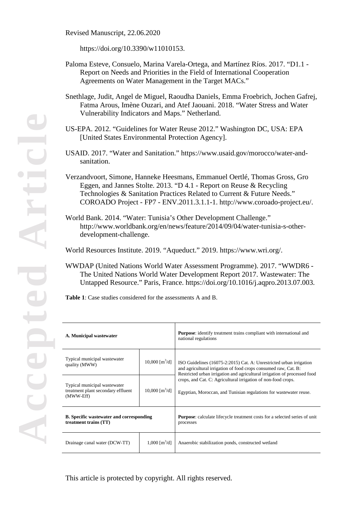https://doi.org/10.3390/w11010153.

- Paloma Esteve, Consuelo, Marina Varela-Ortega, and Martínez Ríos. 2017. "D1.1 Report on Needs and Priorities in the Field of International Cooperation Agreements on Water Management in the Target MACs."
- Snethlage, Judit, Angel de Miguel, Raoudha Daniels, Emma Froebrich, Jochen Gafrej, Fatma Arous, Imène Ouzari, and Atef Jaouani. 2018. "Water Stress and Water Vulnerability Indicators and Maps." Netherland.
- US-EPA. 2012. "Guidelines for Water Reuse 2012." Washington DC, USA: EPA [United States Environmental Protection Agency].
- USAID. 2017. "Water and Sanitation." https://www.usaid.gov/morocco/water-andsanitation.
- Verzandvoort, Simone, Hanneke Heesmans, Emmanuel Oertlé, Thomas Gross, Gro Eggen, and Jannes Stolte. 2013. "D 4.1 - Report on Reuse & Recycling Technologies & Sanitation Practices Related to Current & Future Needs." COROADO Project - FP7 - ENV.2011.3.1.1-1. http://www.coroado-project.eu/.
- World Bank. 2014. "Water: Tunisia's Other Development Challenge." http://www.worldbank.org/en/news/feature/2014/09/04/water-tunisia-s-otherdevelopment-challenge.

World Resources Institute. 2019. "Aqueduct." 2019. https://www.wri.org/.

WWDAP (United Nations World Water Assessment Programme). 2017. "WWDR6 - The United Nations World Water Development Report 2017. Wastewater: The Untapped Resource." Paris, France. https://doi.org/10.1016/j.aqpro.2013.07.003.

**Table 1**: Case studies considered for the assessments A and B.

| A. Municipal wastewater                                                         |                              | <b>Purpose:</b> identify treatment trains compliant with international and<br>national regulations                                                                                                                  |  |
|---------------------------------------------------------------------------------|------------------------------|---------------------------------------------------------------------------------------------------------------------------------------------------------------------------------------------------------------------|--|
| Typical municipal wastewater<br>quality (MWW)                                   | $10,000$ [m <sup>3</sup> /d] | ISO Guidelines (16075-2:2015) Cat. A: Unrestricted urban irrigation<br>and agricultural irrigation of food crops consumed raw, Cat. B:<br>Restricted urban irrigation and agricultural irrigation of processed food |  |
| Typical municipal wastewater<br>treatment plant secondary effluent<br>(MWW-Eff) | $10,000$ [m <sup>3</sup> /d] | crops, and Cat. C: Agricultural irrigation of non-food crops.<br>Egyptian, Moroccan, and Tunisian regulations for was tewater reuse.                                                                                |  |
| <b>B.</b> Specific was tewater and corresponding<br>treatment trains (TT)       |                              | <b>Purpose:</b> calculate lifecycle treatment costs for a selected series of unit<br>processes                                                                                                                      |  |
| Drainage canal water (DCW-TT)                                                   | $1,000$ [m <sup>3</sup> /d]  | Anaerobic stabilization ponds, constructed wetland                                                                                                                                                                  |  |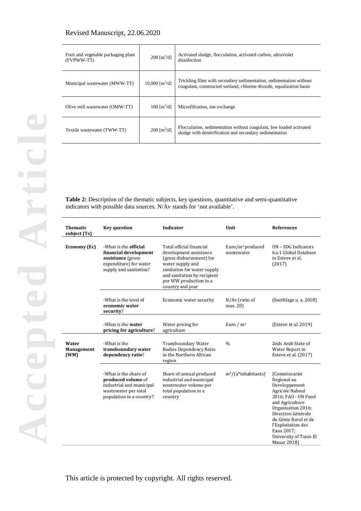| Fruit and vegetable packaging plant<br>(FVPWW-TT) | $200 \,[\mathrm{m}^3/\mathrm{d}]$ | Activated sludge, flocculation, activated carbon, ultraviolet<br>disinfection                                                                |
|---------------------------------------------------|-----------------------------------|----------------------------------------------------------------------------------------------------------------------------------------------|
| Municipal wastewater (MWW-TT)                     | $10,000$ [m <sup>3</sup> /d]      | Trickling filter with secondary sedimentation, sedimentation without<br>coagulant, constructed wetland, chlorine dioxide, equalization basin |
| Olive mill wastewater (OMW-TT)                    | $100 \,[\mathrm{m}^3/\mathrm{d}]$ | Microfiltration, ion exchange                                                                                                                |
| Textile wastewater (TWW-TT)                       | $200 \,[\mathrm{m}^3/\mathrm{d}]$ | Flocculation, sedimentation without coagulant, low loaded activated<br>sludge with denitrification and secondary sedimentation               |

**Table 2:** Description of the thematic subjects, key questions, quantitative and semi-quantitative indicators with possible data sources. N/Av stands for 'not available'.

| <b>Thematic</b><br>subject (Ts)    | <b>Key question</b>                                                                                                            | <b>Indicator</b>                                                                                                                                                                                               | Unit                         | <b>References</b>                                                                                                                                                                                                                                                          |
|------------------------------------|--------------------------------------------------------------------------------------------------------------------------------|----------------------------------------------------------------------------------------------------------------------------------------------------------------------------------------------------------------|------------------------------|----------------------------------------------------------------------------------------------------------------------------------------------------------------------------------------------------------------------------------------------------------------------------|
| Economy (Ec)                       | -What is the <b>official</b><br>financial development<br>assistance (gross<br>expenditure) for water<br>supply and sanitation? | Total official financial<br>development assistance<br>(gross disbursement) for<br>water supply and<br>sanitation for water supply<br>and sanitation by recipient<br>per WW production in a<br>country and year |                              | UN – SDG Indicators<br>6.a.1 Global Database<br>in Esteve et al.<br>(2017)                                                                                                                                                                                                 |
|                                    | -What is the level of<br>economic water<br>security?                                                                           | Economic water security                                                                                                                                                                                        | $N/Av$ (ratio of<br>max. 20) | (Snethlageu.a. 2018)                                                                                                                                                                                                                                                       |
|                                    | -What is the <b>water</b><br>pricing for agriculture?                                                                          | Water pricing for<br>agriculture                                                                                                                                                                               | Euro / $m3$                  | (Esteve et al. 2019)                                                                                                                                                                                                                                                       |
| Water<br><b>Management</b><br>(WM) | -What is the<br>transboundary water<br>dependency ratio?                                                                       | <b>Transboundary Water</b><br><b>Bodies Dependency Ratio</b><br>in the Northern African<br>region                                                                                                              | $\frac{0}{0}$                | 2nds Arab State of<br>Water Report in<br>Esteve et al. (2017)                                                                                                                                                                                                              |
|                                    | -What is the share of<br>produced volume of<br>industrial and municipal<br>wastewater per total<br>population in a country?    | Share of annual produced<br>industrial and municipal<br>wastewater volume per<br>total population in a<br>country                                                                                              | $m^3/(a^*inhabilities)$      | (Commissariat<br>Regional au<br>Developpement<br><b>Agricole Nabeul</b><br>2016; FAO - UN Food<br>and Agriculture<br>Organisation 2016;<br>Direction Générale<br>du Génie Rural et de<br>l'Exploitation des<br>Eaux 2017;<br>University of Tunis El<br><b>Manar 2018</b> ) |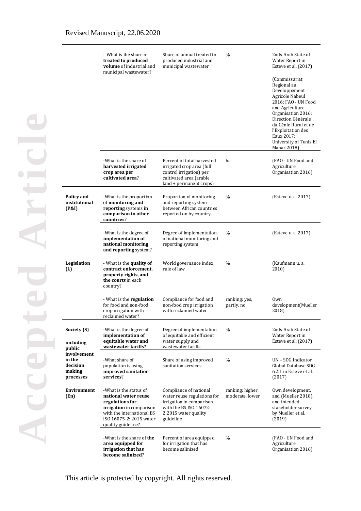|                                                          | - What is the share of<br>treated to produced<br>volume of industrial and<br>municipal wastewater?                                                                          | Share of annual treated to<br>produced industrial and<br>municipal wastewater                                                                    | $\%$                                | 2nds Arab State of<br>Water Report in<br>Esteve et al. (2017)<br>(Commissariat<br>Regional au<br>Developpement<br>Agricole Nabeul<br>2016; FAO - UN Food<br>and Agriculture<br>Organisation 2016;<br>Direction Générale<br>du Génie Rural et de<br>l'Exploitation des<br>Eaux 2017;<br>University of Tunis El<br>Manar 2018) |
|----------------------------------------------------------|-----------------------------------------------------------------------------------------------------------------------------------------------------------------------------|--------------------------------------------------------------------------------------------------------------------------------------------------|-------------------------------------|------------------------------------------------------------------------------------------------------------------------------------------------------------------------------------------------------------------------------------------------------------------------------------------------------------------------------|
|                                                          | -What is the share of<br>harvested irrigated<br>crop area per<br>cultivated area?                                                                                           | Percent of total harvested<br>irrigated crop area (full<br>control irrigation) per<br>cultivated area (arable<br>land + permanent crops)         | ha                                  | (FAO - UN Food and<br>Agriculture<br>Organisation 2016)                                                                                                                                                                                                                                                                      |
| Policy and<br>institutional<br>(P&I)                     | -What is the proportion<br>of monitoring and<br>reporting systems in<br>comparison to other<br>countries?                                                                   | Proportion of monitoring<br>and reporting system<br>between African countries<br>reported on by country                                          | $\frac{0}{0}$                       | (Esteve u. a. 2017)                                                                                                                                                                                                                                                                                                          |
|                                                          | -What is the degree of<br>implementation of<br>national monitoring<br>and reporting system?                                                                                 | Degree of implementation<br>of national monitoring and<br>reporting system                                                                       | $\frac{0}{0}$                       | (Esteve u. a. 2017)                                                                                                                                                                                                                                                                                                          |
| Legislation<br>(L)                                       | - What is the quality of<br>contract enforcement,<br>property rights, and<br>the courts in each<br>country?                                                                 | World governance index,<br>rule of law                                                                                                           | $\%$                                | (Kaufmann u. a.<br>2010)                                                                                                                                                                                                                                                                                                     |
|                                                          | - What is the regulation<br>for food and non-food<br>crop irrigation with<br>reclaimed water?                                                                               | Compliance for food and<br>non-food crop irrigation<br>with reclaimed water                                                                      | ranking: yes,<br>partly, no         | 0wn<br>development(Mueller<br>2018)                                                                                                                                                                                                                                                                                          |
| Society (S)<br>including<br>public                       | -What is the degree of<br>implementation of<br>equitable water and<br>wastewater tariffs?                                                                                   | Degree of implementation<br>of equitable and efficient<br>water supply and<br>wastewater tariffs                                                 | $\%$                                | 2nds Arab State of<br>Water Report in<br>Esteve et al. (2017)                                                                                                                                                                                                                                                                |
| involvement<br>in the<br>decision<br>making<br>processes | -What share of<br>population is using<br>improved sanitation<br>services?                                                                                                   | Share of using improved<br>sanitation services                                                                                                   | $\frac{0}{0}$                       | UN - SDG Indicator<br>Global Database SDG<br>6.2.1 in Esteve et al.<br>(2017)                                                                                                                                                                                                                                                |
| Environment<br>(En)                                      | -What is the status of<br>national water reuse<br>regulations for<br>irrigation in comparison<br>with the international BS<br>ISO 16075-2: 2015 water<br>quality guideline? | Compliance of national<br>water reuse regulations for<br>irrigation in comparison<br>with the BS ISO 16072-<br>2:2015 water quality<br>guideline | ranking: higher,<br>moderate, lower | Own development,<br>and (Mueller 2018).<br>and intended<br>stakeholder survey<br>by Mueller et al.<br>(2019)                                                                                                                                                                                                                 |
|                                                          | -What is the share of the<br>area equipped for<br>irrigation that has<br>become salinized?                                                                                  | Percent of area equipped<br>for irrigation that has<br>become salinized                                                                          | $\%$                                | (FAO - UN Food and<br>Agriculture<br>Organisation 2016)                                                                                                                                                                                                                                                                      |

**Accepted Article** Accepte

**Participate** 

 $\epsilon$ 

 $\mathbf{r}$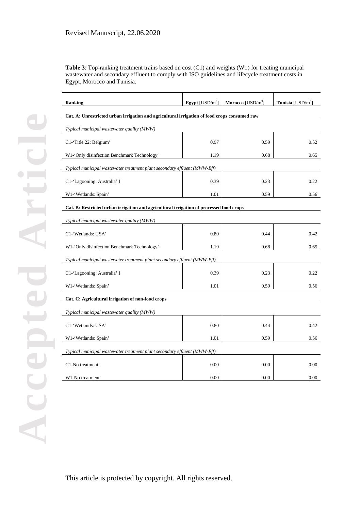**Table 3**: Top-ranking treatment trains based on cost (C1) and weights (W1) for treating municipal wastewater and secondary effluent to comply with ISO guidelines and lifecycle treatment costs in Egypt, Morocco and Tunisia.

| <b>Ranking</b>                                                                               | Egypt $[USD/m3]$ | Morocco $[USD/m3]$ | <b>Tunisia</b> [USD/ $m^3$ ] |  |  |  |  |
|----------------------------------------------------------------------------------------------|------------------|--------------------|------------------------------|--|--|--|--|
| Cat. A: Unrestricted urban irrigation and agricultural irrigation of food crops consumed raw |                  |                    |                              |  |  |  |  |
| Typical municipal wastewater quality (MWW)                                                   |                  |                    |                              |  |  |  |  |
| C1-'Title 22: Belgium'                                                                       | 0.97             | 0.59               | 0.52                         |  |  |  |  |
| W1-'Only disinfection Benchmark Technology'                                                  | 1.19             | 0.68               | 0.65                         |  |  |  |  |
| Typical municipal wastewater treatment plant secondary effluent (MWW-Eff)                    |                  |                    |                              |  |  |  |  |
| C1-'Lagooning: Australia' I                                                                  | 0.39             | 0.23               | 0.22                         |  |  |  |  |
| W1-'Wetlands: Spain'                                                                         | 1.01             | 0.59               | 0.56                         |  |  |  |  |
| Cat. B: Restricted urban irrigation and agricultural irrigation of processed food crops      |                  |                    |                              |  |  |  |  |
| Typical municipal wastewater quality (MWW)                                                   |                  |                    |                              |  |  |  |  |
| C1-'Wetlands: USA'                                                                           | 0.80             | 0.44               | 0.42                         |  |  |  |  |
| W1-'Only disinfection Benchmark Technology'                                                  | 1.19             | 0.68               | 0.65                         |  |  |  |  |
| Typical municipal wastewater treatment plant secondary effluent (MWW-Eff)                    |                  |                    |                              |  |  |  |  |
| C1-'Lagooning: Australia' I                                                                  | 0.39             | 0.23               | 0.22                         |  |  |  |  |
| W1-'Wetlands: Spain'                                                                         | 1.01             | 0.59               | 0.56                         |  |  |  |  |
| Cat. C: Agricultural irrigation of non-food crops                                            |                  |                    |                              |  |  |  |  |
| Typical municipal wastewater quality (MWW)                                                   |                  |                    |                              |  |  |  |  |
| C1-'Wetlands: USA'                                                                           | 0.80             | 0.44               | 0.42                         |  |  |  |  |
| W1-'Wetlands: Spain'                                                                         | 1.01             | 0.59               | 0.56                         |  |  |  |  |
| Typical municipal wastewater treatment plant secondary effluent (MWW-Eff)                    |                  |                    |                              |  |  |  |  |
| C1-No treatment                                                                              | 0.00             | 0.00               | 0.00                         |  |  |  |  |
| W1-No treatment                                                                              | 0.00             | 0.00               | 0.00                         |  |  |  |  |

**Property**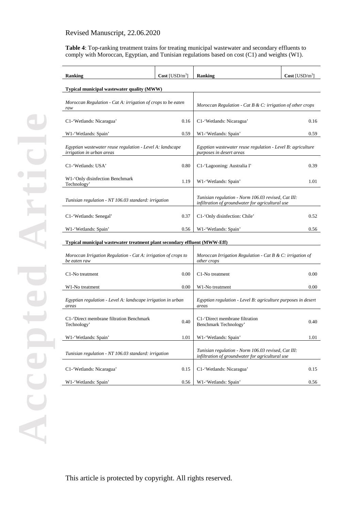**Table 4**: Top-ranking treatment trains for treating municipal wastewater and secondary effluents to comply with Moroccan, Egyptian, and Tunisian regulations based on cost (C1) and weights (W1).

| Ranking                                                                                | $Cost [USD/m^3]$ | <b>Ranking</b>                                                                                          | $Cost [USD/m^3]$ |  |
|----------------------------------------------------------------------------------------|------------------|---------------------------------------------------------------------------------------------------------|------------------|--|
| Typical municipal wastewater quality (MWW)                                             |                  |                                                                                                         |                  |  |
| Moroccan Regulation - Cat A: irrigation of crops to be eaten<br>raw                    |                  | Moroccan Regulation - Cat B & C: irrigation of other crops                                              |                  |  |
| C1-'Wetlands: Nicaragua'                                                               | 0.16             | C1-'Wetlands: Nicaragua'                                                                                | 0.16             |  |
| W1-'Wetlands: Spain'                                                                   | 0.59             | W1-'Wetlands: Spain'                                                                                    | 0.59             |  |
| Egyptian wastewater reuse regulation - Level A: landscape<br>irrigation in urban areas |                  | Egyptian wastewater reuse regulation - Level B: agriculture<br>purposes in desert areas                 |                  |  |
| C1-'Wetlands: USA'                                                                     | 0.80             | C1-'Lagooning: Australia I'                                                                             | 0.39             |  |
| W1-'Only disinfection Benchmark<br>Technology'                                         | 1.19             | W1-'Wetlands: Spain'                                                                                    | 1.01             |  |
| Tunisian regulation - NT 106.03 standard: irrigation                                   |                  | Tunisian regulation - Norm 106.03 revised, Cat III:<br>infiltration of groundwater for agricultural use |                  |  |
| C1-'Wetlands: Senegal'                                                                 | 0.37             | C1-'Only disinfection: Chile'                                                                           | 0.52             |  |
| W1-'Wetlands: Spain'                                                                   | 0.56             | W1-'Wetlands: Spain'                                                                                    | 0.56             |  |
| Typical municipal wastewater treatment plant secondary effluent (MWW-Eff)              |                  |                                                                                                         |                  |  |
| Moroccan Irrigation Regulation - Cat A: irrigation of crops to<br>be eaten raw         |                  | Moroccan Irrigation Regulation - Cat B & C: irrigation of<br><i>other crops</i>                         |                  |  |
| C <sub>1</sub> -No treatment                                                           | 0.00             | C1-No treatment                                                                                         | 0.00             |  |
| W1-No treatment                                                                        | 0.00             | W1-No treatment                                                                                         | 0.00             |  |
| Egyptian regulation - Level A: landscape irrigation in urban<br>areas                  |                  | Egyptian regulation - Level B: agriculture purposes in desert<br>areas                                  |                  |  |
| C1-'Direct membrane filtration Benchmark<br>Technology'                                | 0.40             | C1-'Direct membrane filtration<br>Benchmark Technology'                                                 | 0.40             |  |
| W1-'Wetlands: Spain'                                                                   | 1.01             | W1-'Wetlands: Spain'                                                                                    | 1.01             |  |
| Tunisian regulation - NT 106.03 standard: irrigation                                   |                  | Tunisian regulation - Norm 106.03 revised, Cat III:<br>infiltration of groundwater for agricultural use |                  |  |
| C1-'Wetlands: Nicaragua'                                                               | 0.15             | C1-'Wetlands: Nicaragua'                                                                                | 0.15             |  |
| W1-'Wetlands: Spain'                                                                   | 0.56             | W1-'Wetlands: Spain'                                                                                    | 0.56             |  |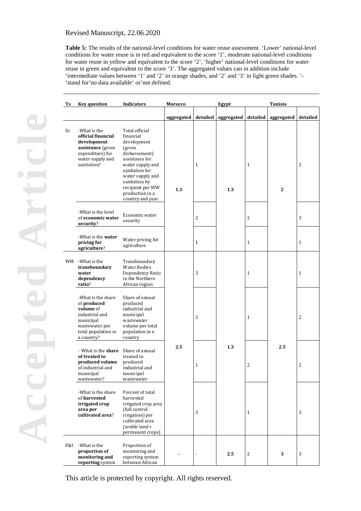**Table 5:** The results of the national-level conditions for water reuse assessment. 'Lower' national-level conditions for water reuse is in red and equivalent to the score '1', moderate national-level conditions for water reuse in yellow and equivalent to the score '2', 'higher' national-level conditions for water reuse in green and equivalent to the score '3'. The aggregated values can in addition include 'intermediate values between '1' and '2' in orange shades, and '2' and '3' in light green shades. '- 'stand for'no data available' or'not defined.

| Ts  | <b>Key question</b>                                                                                                                  | <b>Indicators</b>                                                                                                                                                                                                              | Morocco    |              | Egypt      |                | Tunisia      |                |
|-----|--------------------------------------------------------------------------------------------------------------------------------------|--------------------------------------------------------------------------------------------------------------------------------------------------------------------------------------------------------------------------------|------------|--------------|------------|----------------|--------------|----------------|
|     |                                                                                                                                      |                                                                                                                                                                                                                                | aggregated | detailed     | aggregated | detailed       | aggregated   | detailed       |
| Ec  | -What is the<br>official financial<br>development<br>assistance (gross<br>expenditure) for<br>water supply and<br>sanitation?        | Total official<br>financial<br>development<br>(gross)<br>disbursement)<br>assistance for<br>water supply and<br>sanitation for<br>water supply and<br>sanitation by<br>recipient per WW<br>production in a<br>country and year | 1.3        | $\mathbf{1}$ | 1.3        | $\mathbf{1}$   | $\mathbf{2}$ | $\overline{c}$ |
|     | -What is the level<br>of economic water<br>security?                                                                                 | Economic water<br>security                                                                                                                                                                                                     |            | 2            |            | $\overline{2}$ |              | 3              |
|     | -What is the <b>water</b><br>pricing for<br>agriculture?                                                                             | Water pricing for<br>agriculture                                                                                                                                                                                               |            | $\mathbf{1}$ |            | $\mathbf{1}$   |              | $\mathbf{1}$   |
|     | WM -What is the<br>transboundary<br>water<br>dependency<br>ratio?                                                                    | Transboundary<br><b>Water Bodies</b><br>Dependency Ratio<br>in the Northern<br>African region                                                                                                                                  |            | 3            |            | $\mathbf{1}$   |              | $\mathbf{1}$   |
|     | -What is the share<br>of produced<br>volume of<br>industrial and<br>municipal<br>wastewater per<br>total population in<br>a country? | Share of annual<br>produced<br>industrial and<br>municipal<br>wastewater<br>volume per total<br>population in a<br>country                                                                                                     |            | 3            |            | $\mathbf{1}$   |              | 2              |
|     | - What is the <b>share</b><br>of treated to<br>produced volume<br>of industrial and<br>municipal<br>wastewater?                      | Share of annual<br>treated to<br>produced<br>industrial and<br>municipal<br>wastewater                                                                                                                                         | 2.5        | 1            | 1.3        | 2              | 2.5          | 2              |
|     | -What is the share<br>of harvested<br>irrigated crop<br>area per<br>cultivated area?                                                 | Percent of total<br>harvested<br>irrigated crop area<br>(full control<br>irrigation) per<br>cultivated area<br>(arable land +<br>permanent crops)                                                                              |            | 3            |            | $\mathbf{1}$   |              | 3              |
| P&I | -What is the<br>proportion of<br>monitoring and<br>reporting system                                                                  | Proportion of<br>monitoring and<br>reporting system<br>between African                                                                                                                                                         |            |              | 2.5        | 2              | 3            | 3              |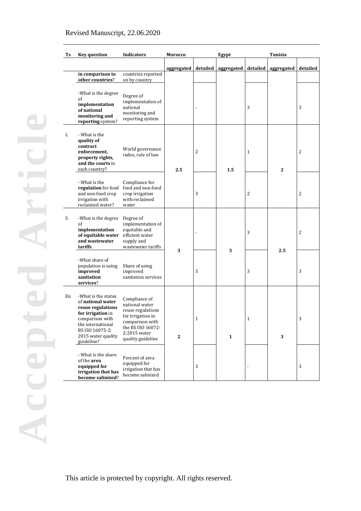| Ts | <b>Key question</b>                                                                                                                                                               | <b>Indicators</b>                                                                                                                                      | Morocco    |                | Egypt      |                | Tunisia        |                |
|----|-----------------------------------------------------------------------------------------------------------------------------------------------------------------------------------|--------------------------------------------------------------------------------------------------------------------------------------------------------|------------|----------------|------------|----------------|----------------|----------------|
|    |                                                                                                                                                                                   |                                                                                                                                                        | aggregated | detailed       | aggregated | detailed       | aggregated     | detailed       |
|    | in comparison to<br>other countries?                                                                                                                                              | countries reported<br>on by country                                                                                                                    |            |                |            |                |                |                |
|    | -What is the degree<br>of<br>implementation<br>of national<br>monitoring and<br>reporting system?                                                                                 | Degree of<br>implementation of<br>national<br>monitoring and<br>reporting system                                                                       |            |                |            | 3              |                | 3              |
| L  | - What is the<br>quality of<br>contract<br>enforcement,<br>property rights,<br>and the courts in<br>each country?                                                                 | World governance<br>index, rule of law                                                                                                                 | 2.5        | $\overline{c}$ | 1.5        | $\mathbf{1}$   | $\overline{2}$ | 2              |
|    | - What is the<br>regulation for food<br>and non-food crop<br>irrigation with<br>reclaimed water?                                                                                  | Compliance for<br>food and non-food<br>crop irrigation<br>with reclaimed<br>water                                                                      |            | 3              |            | $\overline{2}$ |                | 2              |
| S  | -What is the degree<br>of<br>implementation<br>of equitable water<br>and wastewater<br>tariffs                                                                                    | Degree of<br>implementation of<br>equitable and<br>efficient water<br>supply and<br>wastewater tariffs                                                 |            |                |            | 3              |                | $\overline{2}$ |
|    | -What share of<br>population is using<br>improved<br>sanitation<br>services?                                                                                                      | Share of using<br>improved<br>sanitation services                                                                                                      | 3          | 3              | 3          | 3              | 2.5            | 3              |
| En | -What is the status<br>of national water<br>reuse regulations<br>for irrigation in<br>comparison with<br>the international<br>BS ISO 16075-2:<br>2015 water quality<br>guideline? | Compliance of<br>national water<br>reuse regulations<br>for irrigation in<br>comparison with<br>the BS ISO 16072-<br>2:2015 water<br>quality guideline | 2          | $\mathbf{1}$   | 1          | 1              | 3              | 3              |
|    | - What is the share<br>of the area<br>equipped for<br>irrigation that has<br>become salinized?                                                                                    | Percent of area<br>equipped for<br>irrigation that has<br>become salinized                                                                             |            | 3              |            |                |                | 3              |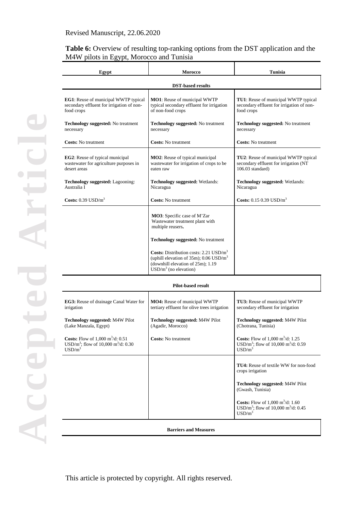# Table 6: Overview of resulting top-ranking options from the DST application and the M4W pilots in Egypt, Morocco and Tunisia

| Egypt                                                                                                                                          | <b>Morocco</b>                                                                                                                                                      | <b>Tunisia</b>                                                                                                                        |  |  |  |  |  |
|------------------------------------------------------------------------------------------------------------------------------------------------|---------------------------------------------------------------------------------------------------------------------------------------------------------------------|---------------------------------------------------------------------------------------------------------------------------------------|--|--|--|--|--|
| <b>DST-based results</b>                                                                                                                       |                                                                                                                                                                     |                                                                                                                                       |  |  |  |  |  |
| <b>EG1</b> : Reuse of municipal WWTP typical<br>secondary effluent for irrigation of non-<br>food crops                                        | <b>MO1</b> : Reuse of municipal WWTP<br>typical secondary effluent for irrigation<br>of non-food crops                                                              | TU1: Reuse of municipal WWTP typical<br>secondary effluent for irrigation of non-<br>food crops                                       |  |  |  |  |  |
| <b>Technology suggested:</b> No treatment<br>necessary                                                                                         | Technology suggested: No treatment<br>necessary                                                                                                                     | <b>Technology suggested:</b> No treatment<br>necessary                                                                                |  |  |  |  |  |
| <b>Costs:</b> No treatment                                                                                                                     | <b>Costs:</b> No treatment                                                                                                                                          | <b>Costs:</b> No treatment                                                                                                            |  |  |  |  |  |
| <b>EG2</b> : Reuse of typical municipal<br>wastewater for agriculture purposes in<br>desert areas                                              | <b>MO2</b> : Reuse of typical municipal<br>wastewater for irrigation of crops to be<br>eaten raw                                                                    | TU2: Reuse of municipal WWTP typical<br>secondary effluent for irrigation (NT<br>106.03 standard)                                     |  |  |  |  |  |
| <b>Technology suggested:</b> Lagooning:<br>Australia I                                                                                         | Technology suggested: Wetlands:<br>Nicaragua                                                                                                                        | Technology suggested: Wetlands:<br>Nicaragua                                                                                          |  |  |  |  |  |
| Costs: $0.39$ USD/ $m3$                                                                                                                        | Costs: No treatment                                                                                                                                                 | Costs: $0.15 0.39$ USD/m <sup>3</sup>                                                                                                 |  |  |  |  |  |
|                                                                                                                                                | MO3: Specific case of M'Zar<br>Wastewater treatment plant with<br>multiple reusers.<br><b>Technology suggested:</b> No treatment                                    |                                                                                                                                       |  |  |  |  |  |
|                                                                                                                                                | <b>Costs:</b> Distribution costs: $2.21$ USD/ $m3$<br>(uphill elevation of $35m$ ); 0.06 USD/ $m3$<br>(downhill elevation of 25m); 1.19<br>$USD/m^3$ (no elevation) |                                                                                                                                       |  |  |  |  |  |
|                                                                                                                                                | <b>Pilot-based result</b>                                                                                                                                           |                                                                                                                                       |  |  |  |  |  |
| EG3: Reuse of drainage Canal Water for<br>irrigation                                                                                           | <b>MO4:</b> Reuse of municipal WWTP<br>tertiary effluent for olive trees irrigation                                                                                 | <b>TU3:</b> Reuse of municipal WWTP<br>secondary effluent for irrigation                                                              |  |  |  |  |  |
| <b>Technology suggested: M4W Pilot</b><br>(Lake Manzala, Egypt)                                                                                | <b>Technology suggested: M4W Pilot</b><br>(Agadir, Morocco)                                                                                                         | <b>Technology suggested: M4W Pilot</b><br>(Chotrana, Tunisia)                                                                         |  |  |  |  |  |
| <b>Costs:</b> Flow of $1,000 \text{ m}^3/\text{d}$ : 0.51<br>USD/m <sup>3</sup> ; flow of 10,000 m <sup>3</sup> /d: 0.30<br>USD/m <sup>3</sup> | <b>Costs:</b> No treatment                                                                                                                                          | <b>Costs:</b> Flow of $1,000 \text{ m}^3/\text{d}$ : 1.25<br>USD/m <sup>3</sup> ; flow of 10,000 m <sup>3</sup> /d: 0.59<br>$USD/m^3$ |  |  |  |  |  |
|                                                                                                                                                |                                                                                                                                                                     | TU4: Reuse of textile WW for non-food<br>crops irrigation                                                                             |  |  |  |  |  |
|                                                                                                                                                |                                                                                                                                                                     | Technology suggested: M4W Pilot<br>(Gwash, Tunisia)                                                                                   |  |  |  |  |  |
|                                                                                                                                                |                                                                                                                                                                     | <b>Costs:</b> Flow of $1,000 \text{ m}^3/\text{d}$ : 1.60<br>USD/m <sup>3</sup> ; flow of 10,000 m <sup>3</sup> /d: 0.45<br>$USD/m^3$ |  |  |  |  |  |

**Barriers and Measures**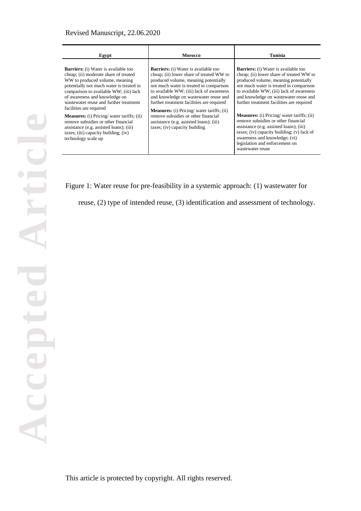| Egypt                                                                                                                                                                                                                                                                                                                                                                                                                                                                                                                   | <b>Morocco</b>                                                                                                                                                                                                                                                                                                                                                                                                                                                                      | <b>Tunisia</b>                                                                                                                                                                                                                                                                                                                                                                                                                                                                                                                                                                          |
|-------------------------------------------------------------------------------------------------------------------------------------------------------------------------------------------------------------------------------------------------------------------------------------------------------------------------------------------------------------------------------------------------------------------------------------------------------------------------------------------------------------------------|-------------------------------------------------------------------------------------------------------------------------------------------------------------------------------------------------------------------------------------------------------------------------------------------------------------------------------------------------------------------------------------------------------------------------------------------------------------------------------------|-----------------------------------------------------------------------------------------------------------------------------------------------------------------------------------------------------------------------------------------------------------------------------------------------------------------------------------------------------------------------------------------------------------------------------------------------------------------------------------------------------------------------------------------------------------------------------------------|
| <b>Barriers:</b> (i) Water is available too<br>cheap; (ii) moderate share of treated<br>WW to produced volume, meaning<br>potentially not much water is treated in<br>comparison to available WW; (iii) lack<br>of awareness and knowledge on<br>wastewater reuse and further treatment<br>facilities are required<br><b>Measures:</b> (i) Pricing/water tariffs; (ii)<br>remove subsidies or other financial<br>assistance (e.g. assisted loans); (iii)<br>taxes; (iii) capacity building; (iv)<br>technology scale up | <b>Barriers:</b> (i) Water is available too<br>cheap; (ii) lower share of treated WW to<br>produced volume, meaning potentially<br>not much water is treated in comparison<br>to available WW; (iii) lack of awareness<br>and knowledge on wastewater reuse and<br>further treatment facilities are required<br><b>Measures:</b> (i) Pricing/water tariffs; (ii)<br>remove subsidies or other financial<br>assistance (e.g. assisted loans); (iii)<br>taxes; (iv) capacity building | <b>Barriers:</b> (i) Water is available too<br>cheap; (ii) lower share of treated WW to<br>produced volume, meaning potentially<br>not much water is treated in comparison<br>to available WW; (iii) lack of awareness<br>and knowledge on wastewater reuse and<br>further treatment facilities are required<br><b>Measures:</b> (i) Pricing/water tariffs; (ii)<br>remove subsidies or other financial<br>assistance (e.g. assisted loans); (iii)<br>taxes; (iv) capacity building; (v) lack of<br>awareness and knowledge; (vi)<br>legislation and enforcement on<br>wastewater reuse |

Figure 1: Water reuse for pre-feasibility in a systemic approach: (1) wastewater for

reuse, (2) type of intended reuse, (3) identification and assessment of technology.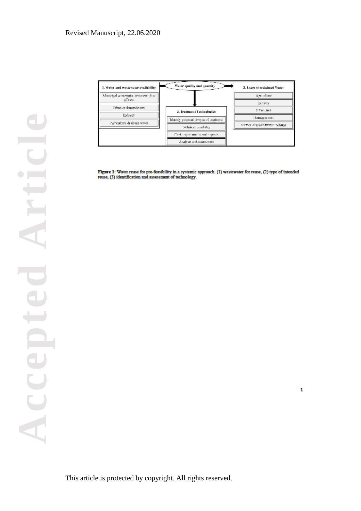

Figure 1: Water reuse for pre-feasibility in a systemic approach: (1) wastewater for reuse, (2) type of intended reuse, (3) identification and assessment of technology.

 $\mathbf{1}$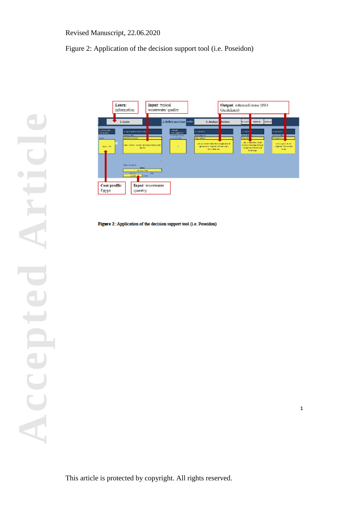Figure 2: Application of the decision support tool (i.e. Poseidon)



Figure 2: Application of the decision support tool (i.e. Poseidon)